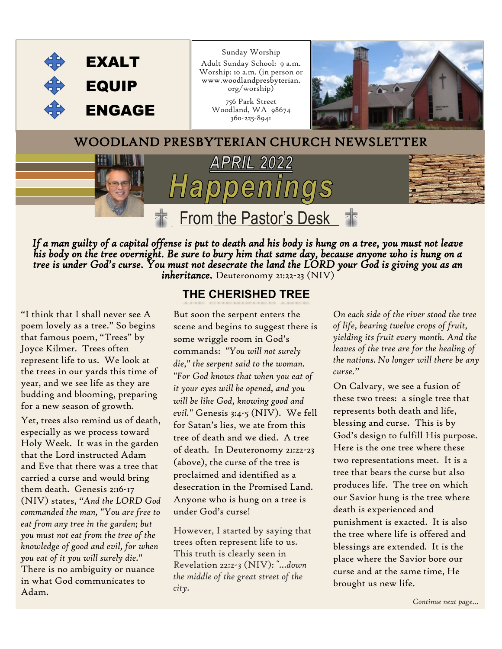

*If a man guilty of a capital offense is put to death and his body is hung on a tree, you must not leave his body on the tree overnight. Be sure to bury him that same day, because anyone who is hung on a tree is under God's curse. You must not desecrate the land the LORD your God is giving you as an inheritance.* Deuteronomy 21:22-23 (NIV)

*"*I think that I shall never see A poem lovely as a tree." So begins that famous poem, "Trees" by Joyce Kilmer. Trees often represent life to us. We look at the trees in our yards this time of year, and we see life as they are budding and blooming, preparing for a new season of growth.

Yet, trees also remind us of death, especially as we process toward Holy Week. It was in the garden that the Lord instructed Adam and Eve that there was a tree that carried a curse and would bring them death. Genesis 2:16-17 (NIV) states, *"And the LORD God commanded the man, "You are free to eat from any tree in the garden; but you must not eat from the tree of the knowledge of good and evil, for when you eat of it you will surely die."* There is no ambiguity or nuance in what God communicates to Adam.

#### **THE CHERISHED TREE**

But soon the serpent enters the scene and begins to suggest there is some wriggle room in God's commands: *"You will not surely die," the serpent said to the woman. "For God knows that when you eat of it your eyes will be opened, and you will be like God, knowing good and evil."* Genesis 3:4-5 (NIV). We fell for Satan's lies, we ate from this tree of death and we died. A tree of death. In Deuteronomy 21:22-23 (above), the curse of the tree is proclaimed and identified as a desecration in the Promised Land. Anyone who is hung on a tree is under God's curse!

However, I started by saying that trees often represent life to us. This truth is clearly seen in Revelation 22:2-3 (NIV): *"…down the middle of the great street of the city.* 

*On each side of the river stood the tree of life, bearing twelve crops of fruit, yielding its fruit every month. And the leaves of the tree are for the healing of the nations. No longer will there be any curse."*

On Calvary, we see a fusion of these two trees: a single tree that represents both death and life, blessing and curse. This is by God's design to fulfill His purpose. Here is the one tree where these two representations meet. It is a tree that bears the curse but also produces life. The tree on which our Savior hung is the tree where death is experienced and punishment is exacted. It is also the tree where life is offered and blessings are extended. It is the place where the Savior bore our curse and at the same time, He brought us new life.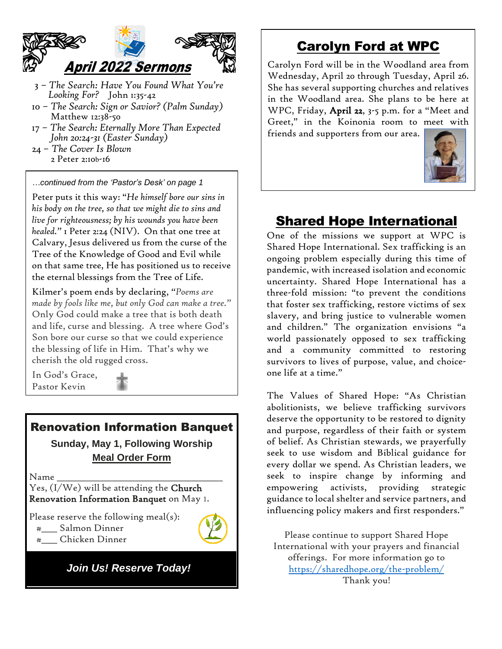

- 3 *The Search: Have You Found What You're Looking For?* John 1:35-42
- 10 *The Search: Sign or Savior? (Palm Sunday)* Matthew 12:38-50
- 17 *The Search: Eternally More Than Expected John 20:24-31 (Easter Sunday)*
- 24 *The Cover Is Blown* 2 Peter 2:10b-16

*…continued from the 'Pastor's Desk' on page 1*

Peter puts it this way: "*He himself bore our sins in his body on the tree, so that we might die to sins and live for righteousness; by his wounds you have been healed."* 1 Peter 2:24 (NIV). On that one tree at Calvary, Jesus delivered us from the curse of the Tree of the Knowledge of Good and Evil while on that same tree, He has positioned us to receive the eternal blessings from the Tree of Life.

Kilmer's poem ends by declaring, *"Poems are made by fools like me, but only God can make a tree."*  Only God could make a tree that is both death and life, curse and blessing. A tree where God's Son bore our curse so that we could experience the blessing of life in Him. That's why we cherish the old rugged cross.

In God's Grace, Pastor Kevin

![](_page_1_Picture_9.jpeg)

### Renovation Information Banquet

**Sunday, May 1, Following Worship Meal Order Form**

 $N$ ame

Yes, (I/We) will be attending the Church Renovation Information Banquet on May 1.

Please reserve the following meal(s):

- #\_\_\_\_ Salmon Dinner
- #\_\_\_\_ Chicken Dinner

*Join Us! Reserve Today!*

## Carolyn Ford at WPC

Carolyn Ford will be in the Woodland area from Wednesday, April 20 through Tuesday, April 26. She has several supporting churches and relatives in the Woodland area. She plans to be here at WPC, Friday, April 22, 3-5 p.m. for a "Meet and Greet," in the Koinonia room to meet with friends and supporters from our area.

![](_page_1_Picture_20.jpeg)

# Shared Hope International

One of the missions we support at WPC is Shared Hope International. Sex trafficking is an ongoing problem especially during this time of pandemic, with increased isolation and economic uncertainty. Shared Hope International has a three-fold mission: "to prevent the conditions that foster sex trafficking, restore victims of sex slavery, and bring justice to vulnerable women and children." The organization envisions "a world passionately opposed to sex trafficking and a community committed to restoring survivors to lives of purpose, value, and choiceone life at a time."

The Values of Shared Hope: "As Christian abolitionists, we believe trafficking survivors deserve the opportunity to be restored to dignity and purpose, regardless of their faith or system of belief. As Christian stewards, we prayerfully seek to use wisdom and Biblical guidance for every dollar we spend. As Christian leaders, we seek to inspire change by informing and empowering activists, providing strategic guidance to local shelter and service partners, and influencing policy makers and first responders."

Please continue to support Shared Hope International with your prayers and financial offerings. For more information go to <https://sharedhope.org/the-problem/> Thank you!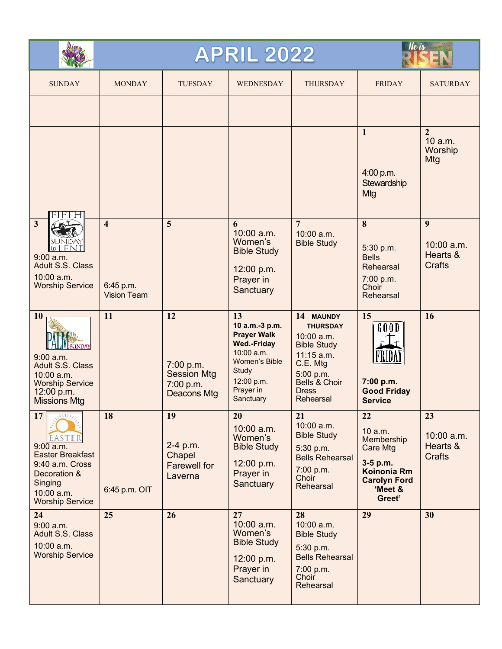|                                                                                                                                                                                                              |                                                            | <b>APRIL 2022</b>                                                 | He is                                                                                                                                                            |                                                                                                                                                         |                                                                                                                |                                               |
|--------------------------------------------------------------------------------------------------------------------------------------------------------------------------------------------------------------|------------------------------------------------------------|-------------------------------------------------------------------|------------------------------------------------------------------------------------------------------------------------------------------------------------------|---------------------------------------------------------------------------------------------------------------------------------------------------------|----------------------------------------------------------------------------------------------------------------|-----------------------------------------------|
| <b>SUNDAY</b>                                                                                                                                                                                                | <b>MONDAY</b>                                              | <b>TUESDAY</b>                                                    | <b>WEDNESDAY</b>                                                                                                                                                 | <b>THURSDAY</b>                                                                                                                                         | <b>FRIDAY</b>                                                                                                  | <b>SATURDAY</b>                               |
|                                                                                                                                                                                                              |                                                            |                                                                   |                                                                                                                                                                  |                                                                                                                                                         | $\mathbf{1}$<br>4:00 p.m.<br>Stewardship<br>Mtg                                                                | $\overline{2}$<br>10 a.m.<br>Worship<br>Mtg   |
| $\mathbf{3}$<br>FN<br>in<br>$9:00$ a.m.<br>Adult S.S. Class<br>10:00 a.m.<br><b>Worship Service</b>                                                                                                          | $\overline{\mathbf{4}}$<br>6:45 p.m.<br><b>Vision Team</b> | 5                                                                 | 6<br>10:00 a.m.<br>Women's<br><b>Bible Study</b><br>12:00 p.m.<br>Prayer in<br>Sanctuary                                                                         | $\overline{7}$<br>10:00 a.m.<br><b>Bible Study</b>                                                                                                      | 8<br>5:30 p.m.<br><b>Bells</b><br>Rehearsal<br>7:00 p.m.<br>Choir<br>Rehearsal                                 | 9<br>10:00 a.m.<br>Hearts &<br><b>Crafts</b>  |
| 10<br>SUNDAY<br>9:00 a.m.<br><b>Adult S.S. Class</b><br>10:00 a.m.<br><b>Worship Service</b><br>12:00 p.m.<br><b>Missions Mtg</b>                                                                            | 11                                                         | 12<br>7:00 p.m.<br><b>Session Mtg</b><br>7:00 p.m.<br>Deacons Mtg | 13<br>10 a.m.-3 p.m.<br><b>Prayer Walk</b><br><b>Wed.-Friday</b><br>$10:00$ a.m.<br><b>Women's Bible</b><br><b>Study</b><br>12:00 p.m.<br>Prayer in<br>Sanctuary | 14 MAUNDY<br><b>THURSDAY</b><br>10:00 a.m.<br><b>Bible Study</b><br>$11:15$ a.m.<br>C.E. Mtg<br>5:00 p.m.<br>Bells & Choir<br><b>Dress</b><br>Rehearsal | 15<br>G O O D<br>7:00 p.m.<br><b>Good Friday</b><br><b>Service</b>                                             | 16                                            |
| 17<br>$\overline{\mathbf{u}^{\mathbf{H}}}\mathbf{u}_{\mathcal{D}}$<br>EASTER<br>$9:00$ a.m.<br><b>Easter Breakfast</b><br>9:40 a.m. Cross<br>Decoration &<br>Singing<br>10:00 a.m.<br><b>Worship Service</b> | 18<br>6:45 p.m. OIT                                        | 19<br>2-4 p.m.<br>Chapel<br><b>Farewell for</b><br>Laverna        | 20<br>10:00 a.m.<br>Women's<br><b>Bible Study</b><br>12:00 p.m.<br>Prayer in<br>Sanctuary                                                                        | 21<br>10:00 a.m.<br><b>Bible Study</b><br>5:30 p.m.<br><b>Bells Rehearsal</b><br>7:00 p.m.<br>Choir<br>Rehearsal                                        | 22<br>10 a.m.<br>Membership<br>Care Mtg<br>3-5 p.m.<br>Koinonia Rm<br><b>Carolyn Ford</b><br>'Meet &<br>Greet' | 23<br>10:00 a.m.<br>Hearts &<br><b>Crafts</b> |
| 24<br>$9:00$ a.m.<br>Adult S.S. Class<br>10:00 a.m.<br><b>Worship Service</b>                                                                                                                                | 25                                                         | 26                                                                | 27<br>10:00 a.m.<br>Women's<br><b>Bible Study</b><br>12:00 p.m.<br>Prayer in<br>Sanctuary                                                                        | 28<br>10:00 a.m.<br><b>Bible Study</b><br>5:30 p.m.<br><b>Bells Rehearsal</b><br>7:00 p.m.<br>Choir<br>Rehearsal                                        | 29                                                                                                             | 30                                            |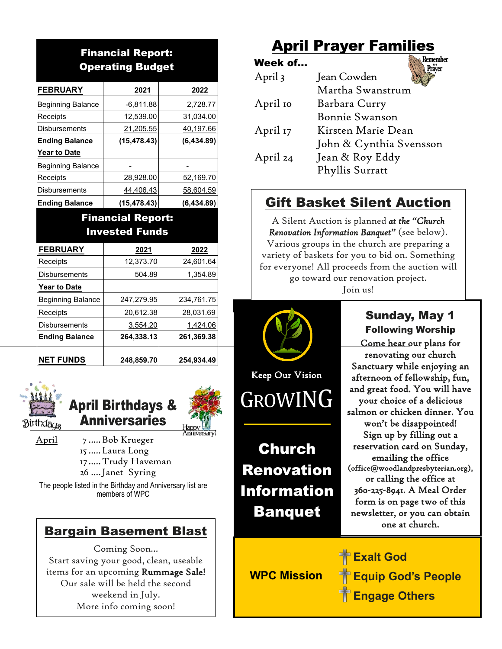## Financial Report: Operating Budget

| <b>FEBRUARY</b>          | 2021         | 2022       |  |
|--------------------------|--------------|------------|--|
| <b>Beginning Balance</b> | $-6,811.88$  | 2,728.77   |  |
| Receipts                 | 12,539.00    | 31,034.00  |  |
| <b>Disbursements</b>     | 21,205.55    | 40,197.66  |  |
| <b>Ending Balance</b>    | (15, 478.43) | (6,434.89) |  |
| <b>Year to Date</b>      |              |            |  |
| <b>Beginning Balance</b> |              |            |  |
| Receipts                 | 28,928.00    | 52,169.70  |  |
| <b>Disbursements</b>     | 44,406.43    | 58,604.59  |  |
| <b>Ending Balance</b>    | (15, 478.43) | (6.434.89) |  |

#### Financial Report: Invested Funds

| <b>FEBRUARY</b>          | 2021       | 2022       |  |
|--------------------------|------------|------------|--|
| Receipts                 | 12,373.70  | 24,601.64  |  |
| <b>Disbursements</b>     | 504.89     | 1,354.89   |  |
| <b>Year to Date</b>      |            |            |  |
| <b>Beginning Balance</b> | 247,279.95 | 234,761.75 |  |
| Receipts                 | 20,612.38  | 28,031.69  |  |
| <b>Disbursements</b>     | 3,554.20   | 1,424.06   |  |
| <b>Ending Balance</b>    | 264,338.13 | 261,369.38 |  |
|                          |            |            |  |
| <b>NET FUNDS</b>         | 248,859.70 | 254,934.49 |  |

![](_page_3_Picture_4.jpeg)

April Birthdays & Anniversaries

April 7 .....Bob Krueger .....Laura Long .....Trudy Haveman ....Janet Syring

The people listed in the Birthday and Anniversary list are members of WPC

## Bargain Basement Blast

Coming Soon… Start saving your good, clean, useable items for an upcoming Rummage Sale! Our sale will be held the second weekend in July. More info coming soon!

# April Prayer Families

**Remember** Week of…  $Pr<sub>aver</sub><sup>m</sup>$ April3 Jean Cowden Martha Swanstrum April 10 Barbara Curry Bonnie Swanson April 17 Kirsten Marie Dean John & Cynthia Svensson April 24 Jean & Roy Eddy Phyllis Surratt

## Gift Basket Silent Auction

A Silent Auction is planned *at the "Church Renovation Information Banquet"* (see below). Various groups in the church are preparing a variety of baskets for you to bid on. Something for everyone! All proceeds from the auction will go toward our renovation project.

Join us!

![](_page_3_Picture_15.jpeg)

Sunday, May 1 Following Worship Come hear our plans for renovating our church Sanctuary while enjoying an afternoon of fellowship, fun, and great food. You will have your choice of a delicious salmon or chicken dinner. You won't be disappointed! Sign up by filling out a reservation card on Sunday, emailing the office (office@woodlandpresbyterian.org), or calling the office at 360-225-8941. A Meal Order form is on page two of this newsletter, or you can obtain one at church.

**WPC Mission**

**Exalt God Equip God's People Engage Others**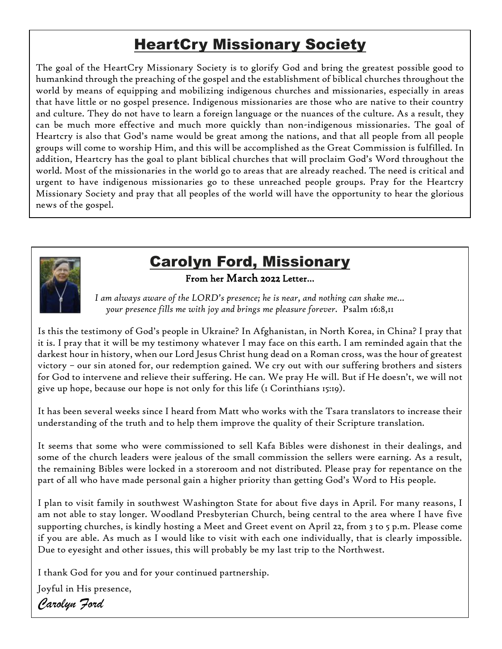# HeartCry Missionary Society

The goal of the HeartCry Missionary Society is to glorify God and bring the greatest possible good to humankind through the preaching of the gospel and the establishment of biblical churches throughout the world by means of equipping and mobilizing indigenous churches and missionaries, especially in areas that have little or no gospel presence. Indigenous missionaries are those who are native to their country and culture. They do not have to learn a foreign language or the nuances of the culture. As a result, they can be much more effective and much more quickly than non-indigenous missionaries. The goal of Heartcry is also that God's name would be great among the nations, and that all people from all people groups will come to worship Him, and this will be accomplished as the Great Commission is fulfilled. In addition, Heartcry has the goal to plant biblical churches that will proclaim God's Word throughout the world. Most of the missionaries in the world go to areas that are already reached. The need is critical and urgent to have indigenous missionaries go to these unreached people groups. Pray for the Heartcry Missionary Society and pray that all peoples of the world will have the opportunity to hear the glorious news of the gospel.

![](_page_4_Picture_2.jpeg)

# Carolyn Ford, Missionary

From her March 2022 Letter…

*I am always aware of the LORD's presence; he is near, and nothing can shake me... your presence fills me with joy and brings me pleasure forever.* Psalm 16:8,11

Is this the testimony of God's people in Ukraine? In Afghanistan, in North Korea, in China? I pray that it is. I pray that it will be my testimony whatever I may face on this earth. I am reminded again that the darkest hour in history, when our Lord Jesus Christ hung dead on a Roman cross, was the hour of greatest victory – our sin atoned for, our redemption gained. We cry out with our suffering brothers and sisters for God to intervene and relieve their suffering. He can. We pray He will. But if He doesn't, we will not give up hope, because our hope is not only for this life (1 Corinthians 15:19).

It has been several weeks since I heard from Matt who works with the Tsara translators to increase their understanding of the truth and to help them improve the quality of their Scripture translation.

It seems that some who were commissioned to sell Kafa Bibles were dishonest in their dealings, and some of the church leaders were jealous of the small commission the sellers were earning. As a result, the remaining Bibles were locked in a storeroom and not distributed. Please pray for repentance on the part of all who have made personal gain a higher priority than getting God's Word to His people.

I plan to visit family in southwest Washington State for about five days in April. For many reasons, I am not able to stay longer. Woodland Presbyterian Church, being central to the area where I have five supporting churches, is kindly hosting a Meet and Greet event on April 22, from 3 to 5 p.m. Please come if you are able. As much as I would like to visit with each one individually, that is clearly impossible. Due to eyesight and other issues, this will probably be my last trip to the Northwest.

 I thank God for you and for your continued partnership.

Joyful in His presence, *Carolyn Ford*